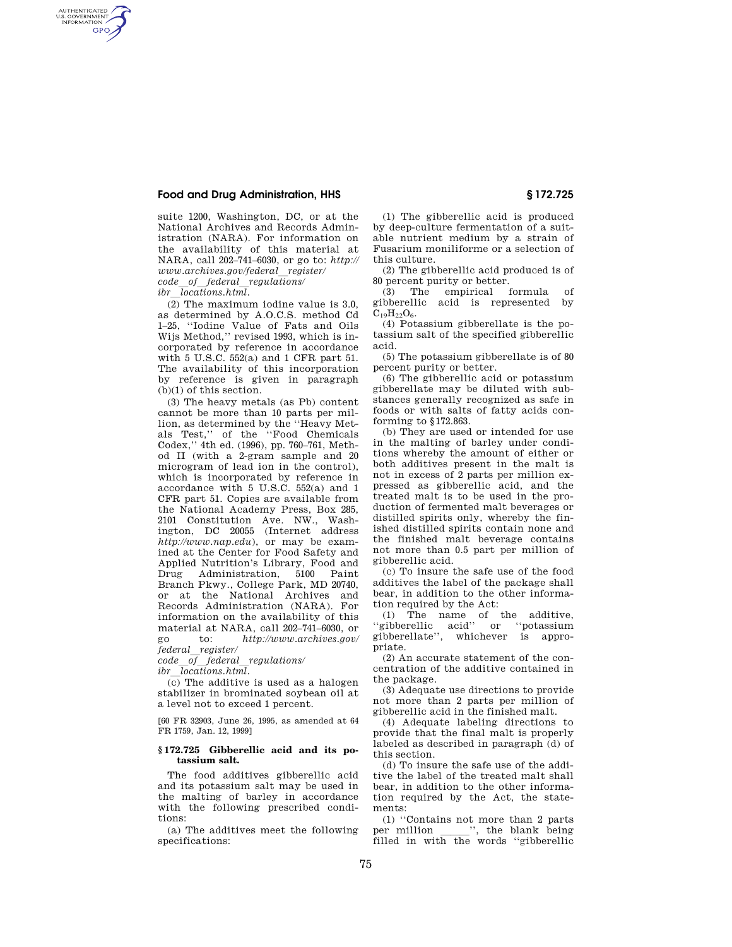# **Food and Drug Administration, HHS § 172.725**

AUTHENTICATED<br>U.S. GOVERNMENT<br>INFORMATION **GPO** 

> suite 1200, Washington, DC, or at the National Archives and Records Administration (NARA). For information on the availability of this material at NARA, call 202–741–6030, or go to: *http:// www.archives.gov/federal*l*register/ code*l*of*l*federal*l*regulations/ ibr*l*locations.html.*

> $\overline{(2)}$  The maximum iodine value is 3.0, as determined by A.O.C.S. method Cd 1–25, ''Iodine Value of Fats and Oils Wijs Method,'' revised 1993, which is incorporated by reference in accordance with 5 U.S.C. 552(a) and 1 CFR part 51. The availability of this incorporation by reference is given in paragraph (b)(1) of this section.

(3) The heavy metals (as Pb) content cannot be more than 10 parts per million, as determined by the ''Heavy Metals Test,'' of the ''Food Chemicals Codex,'' 4th ed. (1996), pp. 760–761, Method II (with a 2-gram sample and 20 microgram of lead ion in the control), which is incorporated by reference in accordance with 5 U.S.C. 552(a) and 1 CFR part 51. Copies are available from the National Academy Press, Box 285, 2101 Constitution Ave. NW., Washington, DC 20055 (Internet address *http://www.nap.edu*), or may be examined at the Center for Food Safety and Applied Nutrition's Library, Food and Drug Administration, 5100 Paint Branch Pkwy., College Park, MD 20740, or at the National Archives and Records Administration (NARA). For information on the availability of this material at NARA, call 202–741–6030, or go to: *http://www.archives.gov/ federal*l*register/* 

*code*l*of*l*federal*l*regulations/* 

*ibr*l*locations.html.* 

 $\overline{c}$  The additive is used as a halogen stabilizer in brominated soybean oil at a level not to exceed 1 percent.

[60 FR 32903, June 26, 1995, as amended at 64 FR 1759, Jan. 12, 1999]

### **§ 172.725 Gibberellic acid and its potassium salt.**

The food additives gibberellic acid and its potassium salt may be used in the malting of barley in accordance with the following prescribed conditions:

(a) The additives meet the following specifications:

(1) The gibberellic acid is produced by deep-culture fermentation of a suitable nutrient medium by a strain of Fusarium moniliforme or a selection of this culture.

(2) The gibberellic acid produced is of 80 percent purity or better.

(3) The empirical formula of gibberellic acid is represented by  $C_{19}H_{22}O_6.$ 

(4) Potassium gibberellate is the potassium salt of the specified gibberellic acid.

(5) The potassium gibberellate is of 80 percent purity or better.

(6) The gibberellic acid or potassium gibberellate may be diluted with substances generally recognized as safe in foods or with salts of fatty acids conforming to §172.863.

(b) They are used or intended for use in the malting of barley under conditions whereby the amount of either or both additives present in the malt is not in excess of 2 parts per million expressed as gibberellic acid, and the treated malt is to be used in the production of fermented malt beverages or distilled spirits only, whereby the finished distilled spirits contain none and the finished malt beverage contains not more than 0.5 part per million of gibberellic acid.

(c) To insure the safe use of the food additives the label of the package shall bear, in addition to the other information required by the Act:

(1) The name of the additive, ''gibberellic acid'' or ''potassium gibberellate'', whichever is appropriate.

(2) An accurate statement of the concentration of the additive contained in the package.

(3) Adequate use directions to provide not more than 2 parts per million of gibberellic acid in the finished malt.

(4) Adequate labeling directions to provide that the final malt is properly labeled as described in paragraph (d) of this section.

(d) To insure the safe use of the additive the label of the treated malt shall bear, in addition to the other information required by the Act, the statements:

(1) "Contains not more than 2 parts<br>er million ", the blank being per million \_\_\_\_\_\_'', the blank being<br>filled in with the words ''gibberellic